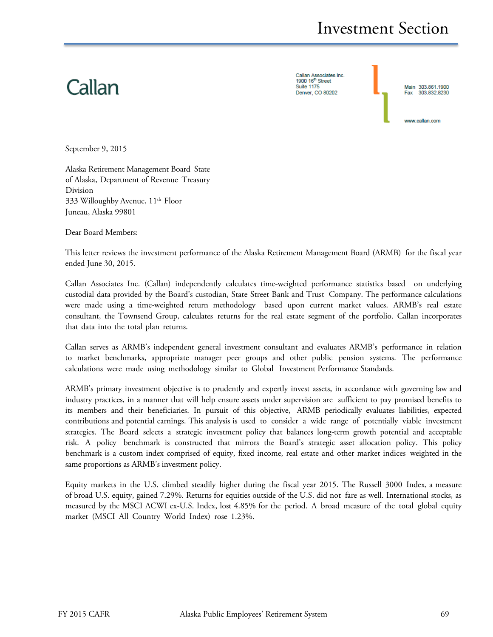# Callan

Callan Associates Inc. 1900 16<sup>th</sup> Street **Suite 1175** Denver CO 80202



September 9, 2015

Alaska Retirement Management Board State of Alaska, Department of Revenue Treasury Division 333 Willoughby Avenue, 11<sup>th</sup> Floor Juneau, Alaska 99801

Dear Board Members:

This letter reviews the investment performance of the Alaska Retirement Management Board (ARMB) for the fiscal year ended June 30, 2015.

Callan Associates Inc. (Callan) independently calculates time-weighted performance statistics based on underlying custodial data provided by the Board's custodian, State Street Bank and Trust Company. The performance calculations were made using a time-weighted return methodology based upon current market values. ARMB's real estate consultant, the Townsend Group, calculates returns for the real estate segment of the portfolio. Callan incorporates that data into the total plan returns.

Callan serves as ARMB's independent general investment consultant and evaluates ARMB's performance in relation to market benchmarks, appropriate manager peer groups and other public pension systems. The performance calculations were made using methodology similar to Global Investment Performance Standards.

ARMB's primary investment objective is to prudently and expertly invest assets, in accordance with governing law and industry practices, in a manner that will help ensure assets under supervision are sufficient to pay promised benefits to its members and their beneficiaries. In pursuit of this objective, ARMB periodically evaluates liabilities, expected contributions and potential earnings. This analysis is used to consider a wide range of potentially viable investment strategies. The Board selects a strategic investment policy that balances long-term growth potential and acceptable risk. A policy benchmark is constructed that mirrors the Board's strategic asset allocation policy. This policy benchmark is a custom index comprised of equity, fixed income, real estate and other market indices weighted in the same proportions as ARMB's investment policy.

Equity markets in the U.S. climbed steadily higher during the fiscal year 2015. The Russell 3000 Index, a measure of broad U.S. equity, gained 7.29%. Returns for equities outside of the U.S. did not fare as well. International stocks, as measured by the MSCI ACWI ex-U.S. Index, lost 4.85% for the period. A broad measure of the total global equity market (MSCI All Country World Index) rose 1.23%.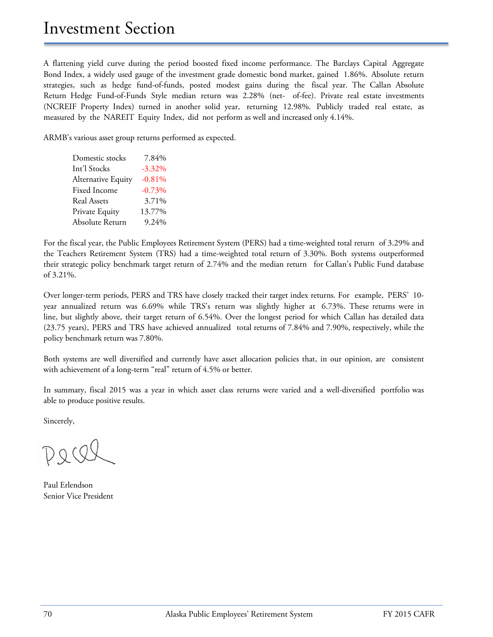A flattening yield curve during the period boosted fixed income performance. The Barclays Capital Aggregate Bond Index, a widely used gauge of the investment grade domestic bond market, gained 1.86%. Absolute return strategies, such as hedge fund-of-funds, posted modest gains during the fiscal year. The Callan Absolute Return Hedge Fund-of-Funds Style median return was 2.28% (net- of-fee). Private real estate investments (NCREIF Property Index) turned in another solid year, returning 12.98%. Publicly traded real estate, as measured by the NAREIT Equity Index, did not perform as well and increased only 4.14%.

ARMB's various asset group returns performed as expected.

| Domestic stocks    | 7.84%     |
|--------------------|-----------|
| Int'l Stocks       | $-3.32\%$ |
| Alternative Equity | $-0.81%$  |
| Fixed Income       | $-0.73%$  |
| <b>Real Assets</b> | 3.71%     |
| Private Equity     | 13.77%    |
| Absolute Return    | 9.24%     |

For the fiscal year, the Public Employees Retirement System (PERS) had a time-weighted total return of 3.29% and the Teachers Retirement System (TRS) had a time-weighted total return of 3.30%. Both systems outperformed their strategic policy benchmark target return of 2.74% and the median return for Callan's Public Fund database of 3.21%.

Over longer-term periods, PERS and TRS have closely tracked their target index returns. For example, PERS' 10 year annualized return was 6.69% while TRS's return was slightly higher at 6.73%. These returns were in line, but slightly above, their target return of 6.54%. Over the longest period for which Callan has detailed data (23.75 years), PERS and TRS have achieved annualized total returns of 7.84% and 7.90%, respectively, while the policy benchmark return was 7.80%.

Both systems are well diversified and currently have asset allocation policies that, in our opinion, are consistent with achievement of a long-term "real" return of 4.5% or better.

In summary, fiscal 2015 was a year in which asset class returns were varied and a well-diversified portfolio was able to produce positive results.

Sincerely,

 $DQQ$ 

Paul Erlendson Senior Vice President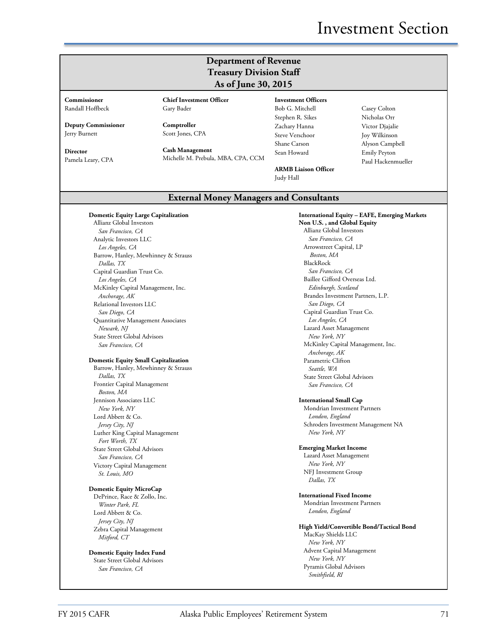# Investment Section

### **Department of Revenue Treasury Division Staff As of June 30, 2015**

**Commissioner** Randall Hoffbeck

**Deputy Commissioner** Jerry Burnett

**Director** Pamela Leary, CPA **Chief Investment Officer** Gary Bader

**Comptroller** Scott Jones, CPA

**Cash Management** Michelle M. Prebula, MBA, CPA, CCM **Investment Officers** Bob G. Mitchell Stephen R. Sikes Zachary Hanna Steve Verschoor Shane Carson Sean Howard

**ARMB Liaison Officer** Judy Hall

Casey Colton Nicholas Orr Victor Djajalie Joy Wilkinson Alyson Campbell Emily Peyton Paul Hackenmueller

### **External Money Managers and Consultants**

#### **Domestic Equity Large Capitalization**

Allianz Global Investors *San Francisco, CA* Analytic Investors LLC *Los Angeles, CA* Barrow, Hanley, Mewhinney & Strauss *Dallas, TX* Capital Guardian Trust Co. *Los Angeles, CA* McKinley Capital Management, Inc. *Anchorage, AK* Relational Investors LLC *San Diego, CA* Quantitative Management Associates *Newark, NJ* State Street Global Advisors *San Francisco, CA*

#### **Domestic Equity Small Capitalization**

Barrow, Hanley, Mewhinney & Strauss *Dallas, TX* Frontier Capital Management *Boston, MA* Jennison Associates LLC *New York, NY* Lord Abbett & Co. *Jersey City, NJ* Luther King Capital Management *Fort Worth, TX* State Street Global Advisors *San Francisco, CA* Victory Capital Management *St. Louis, MO*

### **Domestic Equity MicroCap**

DePrince, Race & Zollo, Inc. *Winter Park, FL* Lord Abbett & Co. *Jersey City, NJ* Zebra Capital Management *Mitford, CT*

**Domestic Equity Index Fund** State Street Global Advisors *San Francisco, CA*

**International Equity – EAFE, Emerging Markets Non U.S. , and Global Equity** Allianz Global Investors *San Francisco, CA* Arrowstreet Capital, LP *Boston, MA* BlackRock *San Francisco, CA* Baillee Gifford Overseas Ltd. *Edinburgh, Scotland* Brandes Investment Partners, L.P. *San Diego, CA* Capital Guardian Trust Co. *Los Angeles, CA* Lazard Asset Management *New York, NY* McKinley Capital Management, Inc. *Anchorage, AK* Parametric Clifton *Seattle, WA* State Street Global Advisors *San Francisco, CA*

#### **International Small Cap**

Mondrian Investment Partners *London, England* Schroders Investment Management NA *New York, NY*

#### **Emerging Market Income**

Lazard Asset Management *New York, NY* NFJ Investment Group *Dallas, TX*

#### **International Fixed Income**

Mondrian Investment Partners *London, England*

### **High Yield/Convertible Bond/Tactical Bond**

MacKay Shields LLC *New York, NY* Advent Capital Management *New York, NY* Pyramis Global Advisors *Smithfield, RI*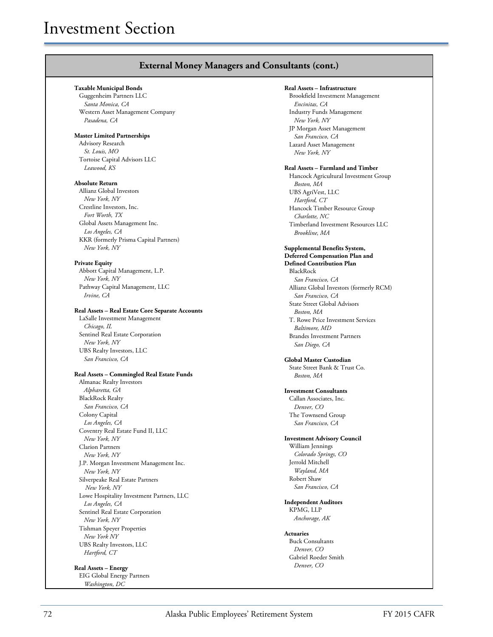### **External Money Managers and Consultants (cont.)**

#### **Taxable Municipal Bonds**

Guggenheim Partners LLC *Santa Monica, CA* Western Asset Management Company *Pasadena, CA*

#### **Master Limited Partnerships**

Advisory Research *St. Louis, MO* Tortoise Capital Advisors LLC *Leawood, KS*

#### **Absolute Return**

Allianz Global Investors *New York, NY* Crestline Investors, Inc. *Fort Worth, TX* Global Assets Management Inc. *Los Angeles, CA* KKR (formerly Prisma Capital Partners) *New York, NY*

#### **Private Equity**

Abbott Capital Management, L.P. *New York, NY* Pathway Capital Management, LLC *Irvine, CA*

#### **Real Assets – Real Estate Core Separate Accounts**

LaSalle Investment Management *Chicago, IL* Sentinel Real Estate Corporation *New York, NY* UBS Realty Investors, LLC *San Francisco, CA*

### **Real Assets – Commingled Real Estate Funds**

Almanac Realty Investors *Alpharetta, GA* BlackRock Realty *San Francisco, CA* Colony Capital *Los Angeles, CA* Coventry Real Estate Fund II, LLC *New York, NY* Clarion Partners *New York, NY* J.P. Morgan Investment Management Inc. *New York, NY* Silverpeake Real Estate Partners *New York, NY* Lowe Hospitality Investment Partners, LLC *Los Angeles, CA* Sentinel Real Estate Corporation *New York, NY* Tishman Speyer Properties *New York NY* UBS Realty Investors, LLC *Hartford, CT*

#### **Real Assets – Energy** EIG Global Energy Partners *Washington, DC*

**Real Assets – Infrastructure**

Brookfield Investment Management *Encinitas, CA* Industry Funds Management *New York, NY* JP Morgan Asset Management *San Francisco, CA* Lazard Asset Management *New York, NY*

#### **Real Assets – Farmland and Timber**

Hancock Agricultural Investment Group *Boston, MA* UBS AgriVest, LLC *Hartford, CT* Hancock Timber Resource Group *Charlotte, NC* Timberland Investment Resources LLC *Brookline, MA*

#### **Supplemental Benefits System, Deferred Compensation Plan and**

**Defined Contribution Plan** BlackRock *San Francisco, CA* Allianz Global Investors (formerly RCM) *San Francisco, CA* State Street Global Advisors *Boston, MA* T. Rowe Price Investment Services *Baltimore, MD* Brandes Investment Partners *San Diego, CA* 

**Global Master Custodian** State Street Bank & Trust Co. *Boston, MA*

#### **Investment Consultants**

Callan Associates, Inc. *Denver, CO* The Townsend Group *San Francisco, CA*

#### **Investment Advisory Council**

William Jennings *Colorado Springs, CO* Jerrold Mitchell *Wayland, MA* Robert Shaw *San Francisco, CA*

#### **Independent Auditors** KPMG, LLP

*Anchorage, AK*

### **Actuaries**

Buck Consultants *Denver, CO* Gabriel Roeder Smith *Denver, CO*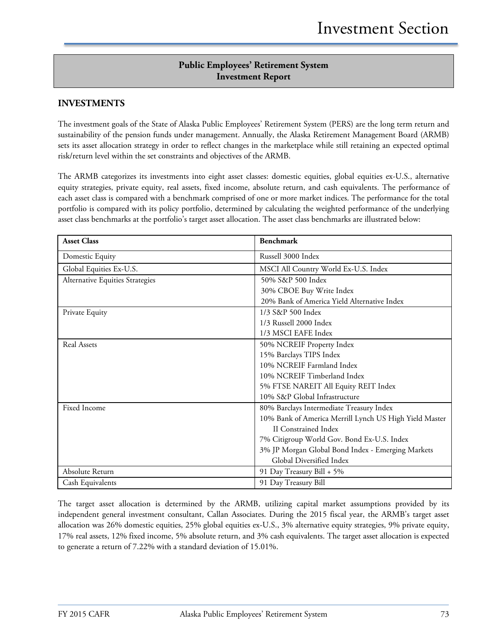## **Public Employees' Retirement System Investment Report**

### **INVESTMENTS**

The investment goals of the State of Alaska Public Employees' Retirement System (PERS) are the long term return and sustainability of the pension funds under management. Annually, the Alaska Retirement Management Board (ARMB) sets its asset allocation strategy in order to reflect changes in the marketplace while still retaining an expected optimal risk/return level within the set constraints and objectives of the ARMB.

The ARMB categorizes its investments into eight asset classes: domestic equities, global equities ex-U.S., alternative equity strategies, private equity, real assets, fixed income, absolute return, and cash equivalents. The performance of each asset class is compared with a benchmark comprised of one or more market indices. The performance for the total portfolio is compared with its policy portfolio, determined by calculating the weighted performance of the underlying asset class benchmarks at the portfolio's target asset allocation. The asset class benchmarks are illustrated below:

| <b>Asset Class</b>              | <b>Benchmark</b>                                       |
|---------------------------------|--------------------------------------------------------|
| Domestic Equity                 | Russell 3000 Index                                     |
| Global Equities Ex-U.S.         | MSCI All Country World Ex-U.S. Index                   |
| Alternative Equities Strategies | 50% S&P 500 Index                                      |
|                                 | 30% CBOE Buy Write Index                               |
|                                 | 20% Bank of America Yield Alternative Index            |
| Private Equity                  | 1/3 S&P 500 Index                                      |
|                                 | 1/3 Russell 2000 Index                                 |
|                                 | 1/3 MSCI EAFE Index                                    |
| Real Assets                     | 50% NCREIF Property Index                              |
|                                 | 15% Barclays TIPS Index                                |
|                                 | 10% NCREIF Farmland Index                              |
|                                 | 10% NCREIF Timberland Index                            |
|                                 | 5% FTSE NAREIT All Equity REIT Index                   |
|                                 | 10% S&P Global Infrastructure                          |
| Fixed Income                    | 80% Barclays Intermediate Treasury Index               |
|                                 | 10% Bank of America Merrill Lynch US High Yield Master |
|                                 | <b>II</b> Constrained Index                            |
|                                 | 7% Citigroup World Gov. Bond Ex-U.S. Index             |
|                                 | 3% JP Morgan Global Bond Index - Emerging Markets      |
|                                 | Global Diversified Index                               |
| Absolute Return                 | 91 Day Treasury Bill + 5%                              |
| Cash Equivalents                | 91 Day Treasury Bill                                   |

The target asset allocation is determined by the ARMB, utilizing capital market assumptions provided by its independent general investment consultant, Callan Associates. During the 2015 fiscal year, the ARMB's target asset allocation was 26% domestic equities, 25% global equities ex-U.S., 3% alternative equity strategies, 9% private equity, 17% real assets, 12% fixed income, 5% absolute return, and 3% cash equivalents. The target asset allocation is expected to generate a return of 7.22% with a standard deviation of 15.01%.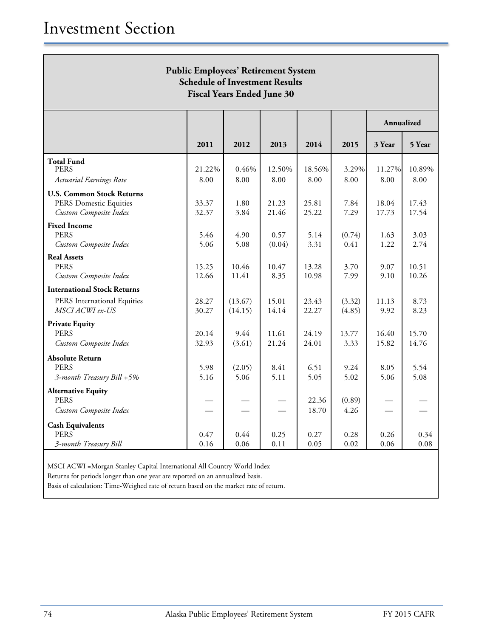| <b>Public Employees' Retirement System</b><br><b>Schedule of Investment Results</b><br><b>Fiscal Years Ended June 30</b> |                |                    |                |                |                  |                |                |
|--------------------------------------------------------------------------------------------------------------------------|----------------|--------------------|----------------|----------------|------------------|----------------|----------------|
|                                                                                                                          |                |                    |                |                |                  | Annualized     |                |
|                                                                                                                          | 2011           | 2012               | 2013           | 2014           | 2015             | 3 Year         | 5 Year         |
| <b>Total Fund</b><br><b>PERS</b><br><b>Actuarial Earnings Rate</b>                                                       | 21.22%<br>8.00 | 0.46%<br>8.00      | 12.50%<br>8.00 | 18.56%<br>8.00 | 3.29%<br>8.00    | 11.27%<br>8.00 | 10.89%<br>8.00 |
| <b>U.S. Common Stock Returns</b>                                                                                         |                |                    |                |                |                  |                |                |
| PERS Domestic Equities<br>Custom Composite Index                                                                         | 33.37<br>32.37 | 1.80<br>3.84       | 21.23<br>21.46 | 25.81<br>25.22 | 7.84<br>7.29     | 18.04<br>17.73 | 17.43<br>17.54 |
| <b>Fixed Income</b><br><b>PERS</b><br>Custom Composite Index                                                             | 5.46<br>5.06   | 4.90<br>5.08       | 0.57<br>(0.04) | 5.14<br>3.31   | (0.74)<br>0.41   | 1.63<br>1.22   | 3.03<br>2.74   |
| <b>Real Assets</b><br><b>PERS</b><br>Custom Composite Index                                                              | 15.25<br>12.66 | 10.46<br>11.41     | 10.47<br>8.35  | 13.28<br>10.98 | 3.70<br>7.99     | 9.07<br>9.10   | 10.51<br>10.26 |
| <b>International Stock Returns</b>                                                                                       |                |                    |                |                |                  |                |                |
| PERS International Equities<br>MSCI ACWI ex-US                                                                           | 28.27<br>30.27 | (13.67)<br>(14.15) | 15.01<br>14.14 | 23.43<br>22.27 | (3.32)<br>(4.85) | 11.13<br>9.92  | 8.73<br>8.23   |
| <b>Private Equity</b><br><b>PERS</b>                                                                                     | 20.14          | 9.44               | 11.61          | 24.19          | 13.77            | 16.40          | 15.70          |
| Custom Composite Index                                                                                                   | 32.93          | (3.61)             | 21.24          | 24.01          | 3.33             | 15.82          | 14.76          |
| <b>Absolute Return</b><br><b>PERS</b><br>3-month Treasury Bill +5%                                                       | 5.98<br>5.16   | (2.05)<br>5.06     | 8.41<br>5.11   | 6.51<br>5.05   | 9.24<br>5.02     | 8.05<br>5.06   | 5.54<br>5.08   |
| <b>Alternative Equity</b><br><b>PERS</b>                                                                                 |                |                    |                | 22.36          | (0.89)           |                |                |
| Custom Composite Index                                                                                                   |                |                    |                | 18.70          | 4.26             |                |                |
| <b>Cash Equivalents</b><br><b>PERS</b><br>3-month Treasury Bill                                                          | 0.47<br>0.16   | 0.44<br>0.06       | 0.25<br>0.11   | 0.27<br>0.05   | 0.28<br>0.02     | 0.26<br>0.06   | 0.34<br>0.08   |

MSCI ACWI =Morgan Stanley Capital International All Country World Index

Returns for periods longer than one year are reported on an annualized basis.

Basis of calculation: Time-Weighed rate of return based on the market rate of return.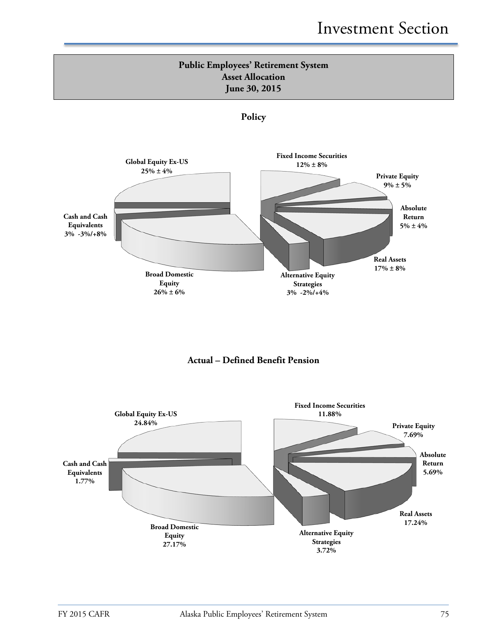

![](_page_6_Figure_2.jpeg)

![](_page_6_Figure_3.jpeg)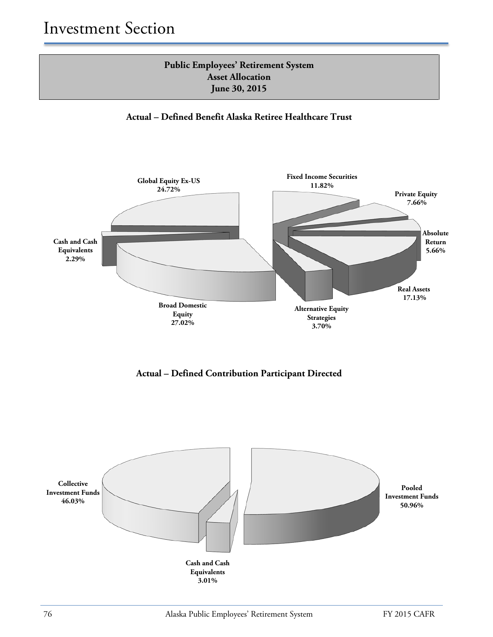![](_page_7_Figure_1.jpeg)

**Actual – Defined Benefit Alaska Retiree Healthcare Trust**

![](_page_7_Figure_3.jpeg)

**Actual – Defined Contribution Participant Directed**

![](_page_7_Figure_5.jpeg)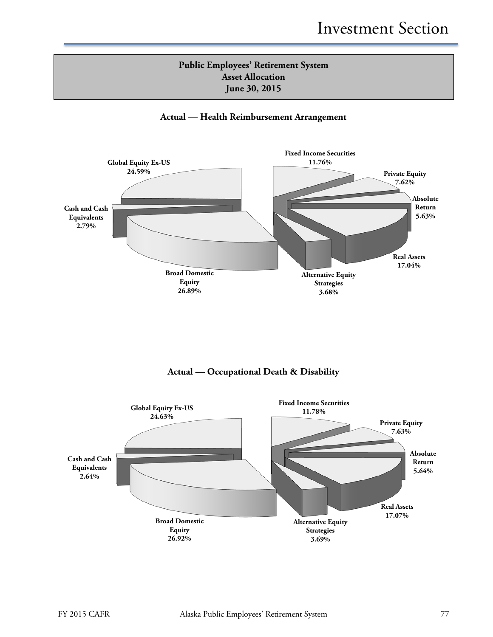# **Public Employees' Retirement System Asset Allocation June 30, 2015**

### **Actual — Health Reimbursement Arrangement**

![](_page_8_Figure_3.jpeg)

**Actual — Occupational Death & Disability**

![](_page_8_Figure_5.jpeg)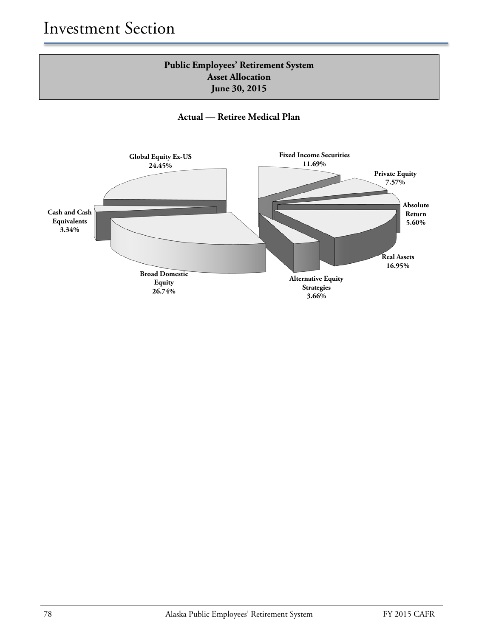# **Public Employees' Retirement System Asset Allocation June 30, 2015**

**Actual — Retiree Medical Plan**

![](_page_9_Figure_3.jpeg)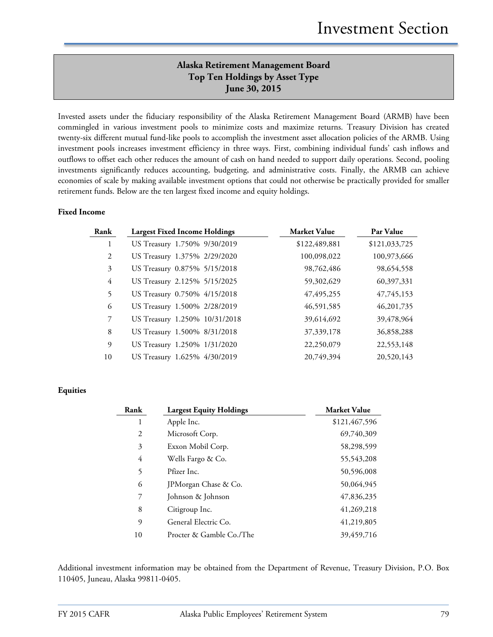# **Alaska Retirement Management Board Top Ten Holdings by Asset Type June 30, 2015**

Invested assets under the fiduciary responsibility of the Alaska Retirement Management Board (ARMB) have been commingled in various investment pools to minimize costs and maximize returns. Treasury Division has created twenty-six different mutual fund-like pools to accomplish the investment asset allocation policies of the ARMB. Using investment pools increases investment efficiency in three ways. First, combining individual funds' cash inflows and outflows to offset each other reduces the amount of cash on hand needed to support daily operations. Second, pooling investments significantly reduces accounting, budgeting, and administrative costs. Finally, the ARMB can achieve economies of scale by making available investment options that could not otherwise be practically provided for smaller retirement funds. Below are the ten largest fixed income and equity holdings.

### **Fixed Income**

| Rank           | <b>Largest Fixed Income Holdings</b> | <b>Market Value</b> | Par Value     |
|----------------|--------------------------------------|---------------------|---------------|
| 1              | US Treasury 1.750% 9/30/2019         | \$122,489,881       | \$121,033,725 |
| 2              | US Treasury 1.375% 2/29/2020         | 100,098,022         | 100,973,666   |
| 3              | US Treasury 0.875% 5/15/2018         | 98,762,486          | 98,654,558    |
| 4              | US Treasury 2.125% 5/15/2025         | 59,302,629          | 60,397,331    |
| 5              | US Treasury 0.750% 4/15/2018         | 47, 495, 255        | 47,745,153    |
| 6              | US Treasury 1.500% 2/28/2019         | 46,591,585          | 46, 201, 735  |
| $\overline{7}$ | US Treasury 1.250% 10/31/2018        | 39,614,692          | 39,478,964    |
| 8              | US Treasury 1.500% 8/31/2018         | 37, 339, 178        | 36,858,288    |
| 9              | US Treasury 1.250% 1/31/2020         | 22,250,079          | 22,553,148    |
| 10             | US Treasury 1.625% 4/30/2019         | 20,749,394          | 20,520,143    |

### **Equities**

| Rank | <b>Largest Equity Holdings</b> | <b>Market Value</b> |
|------|--------------------------------|---------------------|
| 1    | Apple Inc.                     | \$121,467,596       |
| 2    | Microsoft Corp.                | 69,740,309          |
| 3    | Exxon Mobil Corp.              | 58,298,599          |
| 4    | Wells Fargo & Co.              | 55,543,208          |
| 5    | Pfizer Inc.                    | 50,596,008          |
| 6    | JPMorgan Chase & Co.           | 50,064,945          |
| 7    | Johnson & Johnson              | 47,836,235          |
| 8    | Citigroup Inc.                 | 41,269,218          |
| 9    | General Electric Co.           | 41,219,805          |
| 10   | Procter & Gamble Co./The       | 39,459,716          |

Additional investment information may be obtained from the Department of Revenue, Treasury Division, P.O. Box 110405, Juneau, Alaska 99811-0405.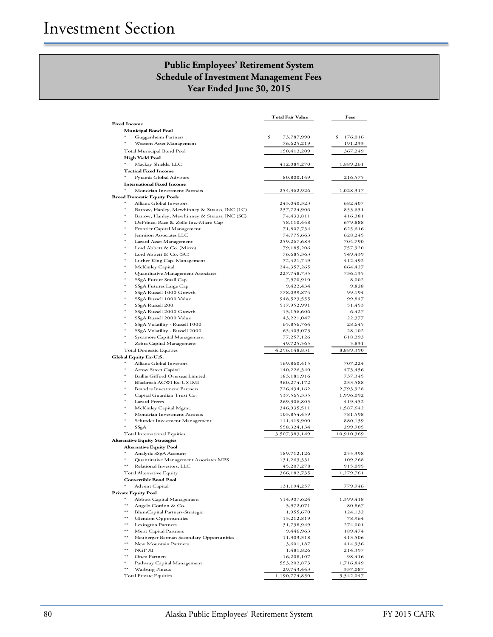## **Public Employees' Retirement System Schedule of Investment Management Fees Year Ended June 30, 2015**

|                     |                                                                    | <b>Total Fair Value</b>        | Fees                     |
|---------------------|--------------------------------------------------------------------|--------------------------------|--------------------------|
| <b>Fixed Income</b> |                                                                    |                                |                          |
|                     | <b>Municipal Bond Pool</b>                                         |                                |                          |
|                     | Guggenheim Partners<br>Western Asset Management                    | \$<br>73,787,990<br>76,625,219 | 176,016<br>\$<br>191,233 |
|                     | Total Municipal Bond Pool                                          | 150,413,209                    | 367,249                  |
|                     | <b>High Yield Pool</b>                                             |                                |                          |
|                     | Mackay Shields, LLC                                                | 412,089,270                    | 1,889,261                |
|                     | <b>Tactical Fixed Income</b>                                       |                                |                          |
|                     | Pyramis Global Advisors                                            | 80,800,149                     | 216,575                  |
|                     | <b>International Fixed Income</b>                                  |                                |                          |
|                     | Mondrian Investment Partners<br><b>Broad Domestic Equity Pools</b> | 254,362,926                    | 1,028,317                |
|                     | Allianz Global Investors                                           | 243,040,323                    | 682,407                  |
| $\ast$              | Barrow, Hanley, Mewhinney & Strauss, INC (LC)                      | 237,724,906                    | 853,651                  |
| $\ast$              | Barrow, Hanley, Mewhinney & Strauss, INC (SC)                      | 74,433,811                     | 416,381                  |
| $\ast$              | DePrince, Race & Zollo Inc.-Micro Cap                              | 58,110,448                     | 679,888                  |
| $\ast$              | Frontier Capital Management                                        | 71,807,734                     | 625,616                  |
| $\ast$              | Jennison Associates LLC<br>Lazard Asset Management                 | 74,775,663<br>259,267,683      | 628,245<br>704,790       |
| $\ast$              | Lord Abbett & Co. (Micro)                                          | 79,185,206                     | 757,920                  |
| $\ast$              | Lord Abbett & Co. (SC)                                             | 76,685,363                     | 549,439                  |
| $^{\ast}$           | Luther King Cap. Management                                        | 72,421,749                     | 412,492                  |
|                     | McKinley Capital                                                   | 244,357,265                    | 864,427                  |
| $\ast$              | Quantitative Management Associates                                 | 227,748,735                    | 736,135                  |
|                     | SSgA Future Small Cap                                              | 7,970,910                      | 8,002                    |
|                     | SSgA Futures Large Cap<br>SSgA Russell 1000 Growth                 | 9,422,434<br>778,099,874       | 9,828<br>99,194          |
| $\ast$              | SSgA Russell 1000 Value                                            | 948,523,555                    | 99,847                   |
|                     | SSgA Russell 200                                                   | 517,952,991                    | 51,453                   |
|                     | SSgA Russell 2000 Growth                                           | 13,156,606                     | 6,427                    |
|                     | SSgA Russell 2000 Value                                            | 43,221,047                     | 22,377                   |
| $\ast$              | SSgA Volatility - Russell 1000                                     | 65,856,764                     | 28,645                   |
|                     | SSgA Volatility - Russell 2000                                     | 65,403,073<br>77,257,126       | 28,102<br>618,293        |
| $\ast$              | Sycamore Capital Management<br>Zebra Capital Management            | 49,725,565                     | 5,831                    |
|                     | <b>Total Domestic Equities</b>                                     | 4,296,148,831                  | 8,889,390                |
|                     | Global Equity Ex-U.S.                                              |                                |                          |
|                     | Allianz Global Investors                                           | 169,860,415                    | 707,224                  |
| $\ast$              | Arrow Street Capital                                               | 140,226,340                    | 473,456                  |
|                     | Baillie Gifford Overseas Limited                                   | 183, 181, 916                  | 737,345                  |
|                     | Blackrock ACWI Ex-US IMI<br><b>Brandes Investment Partners</b>     | 360,274,172<br>726,434,162     | 233,588<br>2,793,928     |
| $\ast$              | Capital Guardian Trust Co.                                         | 537,565,335                    | 1,996,092                |
| $\ast$              | <b>Lazard Freres</b>                                               | 269,306,805                    | 419,452                  |
|                     | McKinley Capital Mgmt.                                             | 346,935,511                    | 1,587,642                |
|                     | Mondrian Investment Partners                                       | 103,854,459                    | 781,598                  |
| $\ast$              | Schroder Investment Management                                     | 111,419,900                    | 880,139                  |
|                     | SSgA<br><b>Total International Equities</b>                        | 558,324,134                    | 299,905                  |
|                     | <b>Alternative Equity Strategies</b>                               | 3,507,383,149                  | 10,910,369               |
|                     | <b>Alternative Equity Pool</b>                                     |                                |                          |
|                     | Analytic SSgA Account                                              | 189,712,126                    | 255,398                  |
|                     | Quantitative Management Associates MPS                             | 131,263,331                    | 109,268                  |
|                     | Relational Investors, LLC                                          | 45,207,278                     | 915,095                  |
|                     | Total Alternative Equity                                           | 366,182,735                    | 1,279,761                |
|                     | <b>Convertible Bond Pool</b>                                       |                                |                          |
|                     | Advent Capital<br><b>Private Equity Pool</b>                       | 131,194,257                    | 779,946                  |
| $*$                 | Abbott Capital Management                                          | 514,907,624                    | 1,399,418                |
| $**$                | Angelo Gordon & Co.                                                | 3,972,071                      | 80,867                   |
| $**$                | BlumCapital Partners-Strategic                                     | 1,955,670                      | 124,132                  |
| $**$                | <b>Glendon Opportunities</b>                                       | 13,212,819                     | 78,964                   |
| $**$                | Lexington Partners                                                 | 31,738,949                     | 274,001                  |
| $**$<br>$***$       | Merit Capital Partners                                             | 9,446,963                      | 189,474                  |
| **                  | Neuberger Berman Secondary Opportunities<br>New Mountain Partners  | 11,303,318<br>3,601,187        | 413,506<br>414,936       |
| $**$                | NGP XI                                                             | 1,481,826                      | 214,397                  |
| $**$                | Onex Partners                                                      | 16,208,107                     | 98,416                   |
| $\ast$              | Pathway Capital Management                                         | 553,202,873                    | 1,716,849                |
| $**$                | Warburg Pincus                                                     | 29,743,443                     | 337,087                  |
|                     | <b>Total Private Equities</b>                                      | 1,190,774,850                  | 5,342,047                |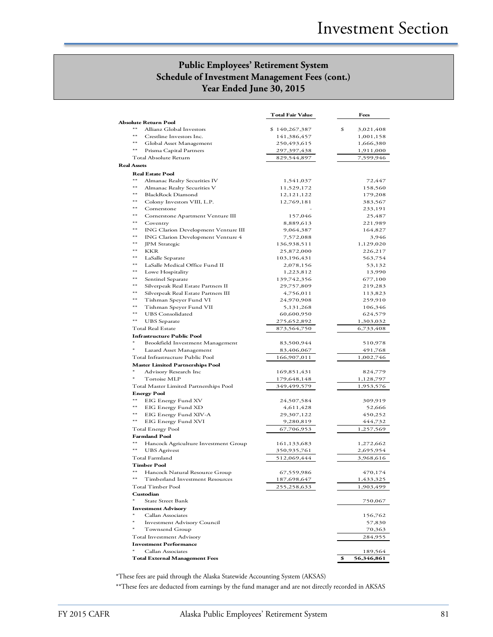## **Public Employees' Retirement System Schedule of Investment Management Fees (cont.) Year Ended June 30, 2015**

|                    |                                              | Total Fair Value           | Fees               |
|--------------------|----------------------------------------------|----------------------------|--------------------|
|                    | <b>Absolute Return Pool</b>                  |                            |                    |
| **                 | Allianz Global Investors                     | \$140,267,387              | \$<br>3,021,408    |
| $**$               | Crestline Investors Inc.                     | 141,386,457                | 1,001,158          |
| $**$               | Global Asset Management                      | 250,493,615                | 1,666,380          |
| $**$               | Prisma Capital Partners                      | 297,397,438                | 1,911,000          |
|                    | Total Absolute Return                        | 829,544,897                | 7,599,946          |
| <b>Real Assets</b> |                                              |                            |                    |
|                    | <b>Real Estate Pool</b>                      |                            |                    |
| **                 | Almanac Realty Securities IV                 | 1,541,037                  | 72,447             |
| **                 | Almanac Realty Securities V                  | 11,529,172                 | 158,560            |
| **                 | <b>BlackRock Diamond</b>                     | 12, 121, 122<br>12,769,181 | 179,208            |
| **                 | Colony Investors VIII, L.P.<br>Cornerstone   |                            | 383,567<br>233,191 |
| **                 | Cornerstone Apartment Venture III            | 157,046                    | 25,487             |
| $**$               | Coventry                                     | 8,889,613                  | 221,989            |
| **                 | <b>ING Clarion Development Venture III</b>   | 9,064,387                  | 164,827            |
| **                 | ING Clarion Development Venture 4            | 7,572,088                  | 3,946              |
| **                 | <b>JPM</b> Strategic                         | 136,938,511                | 1,129,020          |
| $**$               | KKR                                          | 25,872,000                 | 226,217            |
| **                 | LaSalle Separate                             | 103,196,431                | 563,754            |
| **                 | LaSalle Medical Office Fund II               | 2,078,156                  | 53,132             |
| **                 | Lowe Hospitality                             | 1,223,812                  | 13,990             |
| **                 | Sentinel Separate                            | 139,742,356                | 677,100            |
| **                 | Silverpeak Real Estate Partners II           | 29,757,809                 | 219,283            |
| **                 | Silverpeak Real Estate Partners III          | 4,756,011                  | 113,823            |
| **                 | Tishman Speyer Fund VI                       | 24,970,908                 | 259,910            |
| **                 | Tishman Speyer Fund VII                      | 5,131,268                  | 106,346            |
| **                 | <b>UBS</b> Consolidated                      | 60,600,950                 | 624,579            |
| **                 | <b>UBS</b> Separate                          | 275,652,892                | 1,303,032          |
|                    | <b>Total Real Estate</b>                     | 873,564,750                | 6,733,408          |
|                    | <b>Infrastructure Public Pool</b>            |                            |                    |
| $\ast$             | Brookfield Investment Management             | 83,500,944                 | 510,978            |
|                    | Lazard Asset Management                      | 83,406,067                 | 491,768            |
|                    | Total Infrastructure Public Pool             | 166,907,011                | 1,002,746          |
|                    | <b>Master Limited Partnerships Pool</b>      |                            |                    |
| $^*$               | Advisory Research Inc                        | 169,851,431                | 824,779            |
|                    | <b>Tortoise MLP</b>                          | 179,648,148                | 1,128,797          |
|                    | Total Master Limited Partnerships Pool       | 349,499,579                | 1,953,576          |
| $**$               | <b>Energy Pool</b>                           |                            |                    |
| **                 | EIG Energy Fund XV                           | 24,507,584                 | 309,919            |
| **                 | EIG Energy Fund XD                           | 4,611,428                  | 52,666<br>450,252  |
| **                 | EIG Energy Fund XIV-A<br>EIG Energy Fund XVI | 29,307,122<br>9,280,819    | 444,732            |
|                    | <b>Total Energy Pool</b>                     | 67,706,953                 | 1,257,569          |
|                    | <b>Farmland Pool</b>                         |                            |                    |
| $**$               | Hancock Agriculture Investment Group         | 161,133,683                | 1,272,662          |
| **                 | <b>UBS</b> Agrivest                          | 350,935,761                | 2,695,954          |
|                    | Total Farmland                               | 512,069,444                | 3,968,616          |
|                    | <b>Timber Pool</b>                           |                            |                    |
| **                 | Hancock Natural Resource Group               | 67,559,986                 | 470,174            |
| **                 | <b>Timberland Investment Resources</b>       | 187,698,647                | 1,433,325          |
|                    | <b>Total Timber Pool</b>                     | 255,258,633                | 1,903,499          |
|                    | Custodian                                    |                            |                    |
|                    | <b>State Street Bank</b>                     |                            | 750,067            |
|                    | <b>Investment Advisory</b>                   |                            |                    |
| ∗                  | Callan Associates                            |                            | 156,762            |
| ж                  | <b>Investment Advisory Council</b>           |                            | 57,830             |
| *                  | Townsend Group                               |                            | 70,363             |
|                    | Total Investment Advisory                    |                            | 284,955            |
|                    | <b>Investment Performance</b>                |                            |                    |
|                    | Callan Associates                            |                            | 189,564            |
|                    | <b>Total External Management Fees</b>        |                            | \$<br>56,346,861   |

\*These fees are paid through the Alaska Statewide Accounting System (AKSAS)

\*\*These fees are deducted from earnings by the fund manager and are not directly recorded in AKSAS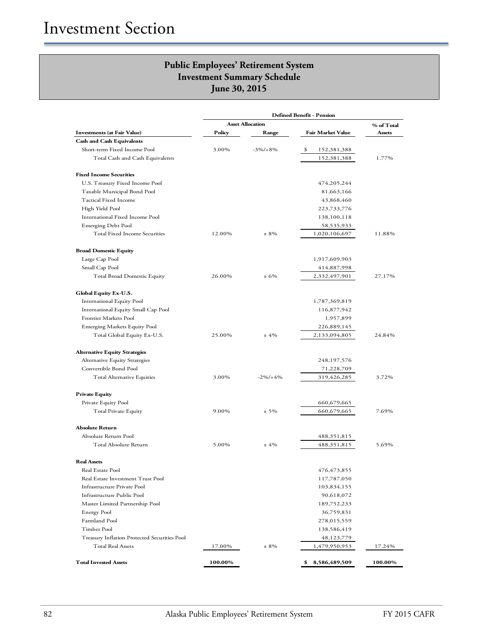|                                              |         | <b>Asset Allocation</b> |                          | % of Total |
|----------------------------------------------|---------|-------------------------|--------------------------|------------|
| <b>Investments (at Fair Value)</b>           | Policy  | Range                   | <b>Fair Market Value</b> | Assets     |
| <b>Cash and Cash Equivalents</b>             |         |                         |                          |            |
| Short-term Fixed Income Pool                 | 3.00%   | $-3\%/+8\%$             | \$<br>152,381,388        |            |
| Total Cash and Cash Equivalents              |         |                         | 152,381,388              | 1.77%      |
| <b>Fixed Income Securities</b>               |         |                         |                          |            |
| U.S. Treasury Fixed Income Pool              |         |                         | 474,205,244              |            |
| Taxable Municipal Bond Pool                  |         |                         | 81,663,166               |            |
| Tactical Fixed Income                        |         |                         | 43,868,460               |            |
| High Yield Pool                              |         |                         | 223,733,776              |            |
| International Fixed Income Pool              |         |                         | 138,100,118              |            |
| Emerging Debt Pool                           |         |                         | 58,535,933               |            |
| Total Fixed Income Securities                | 12.00%  | $± 8\%$                 | 1,020,106,697            | 11.88%     |
| <b>Broad Domestic Equity</b>                 |         |                         |                          |            |
| Large Cap Pool                               |         |                         | 1,917,609,903            |            |
| Small Cap Pool                               |         |                         | 414,887,998              |            |
| Total Broad Domestic Equity                  | 26.00%  | ± 6%                    | 2,332,497,901            | 27.17%     |
| Global Equity Ex-U.S.                        |         |                         |                          |            |
| <b>International Equity Pool</b>             |         |                         | 1,787,369,819            |            |
| International Equity Small Cap Pool          |         |                         | 116,877,942              |            |
| Frontier Markets Pool                        |         |                         | 1,957,899                |            |
| <b>Emerging Markets Equity Pool</b>          |         |                         | 226,889,145              |            |
| Total Global Equity Ex-U.S.                  | 25.00%  | ±4%                     | 2,133,094,805            | 24.84%     |
| <b>Alternative Equity Strategies</b>         |         |                         |                          |            |
| Alternative Equity Strategies                |         |                         | 248,197,576              |            |
| Convertible Bond Pool                        |         |                         | 71,228,709               |            |
| Total Alternative Equities                   | 3.00%   | $-2\%/+4\%$             | 319,426,285              | 3.72%      |
|                                              |         |                         |                          |            |
| <b>Private Equity</b>                        |         |                         |                          |            |
| Private Equity Pool                          |         |                         | 660,679,665              |            |
| Total Private Equity                         | 9.00%   | $± 5\%$                 | 660,679,665              | 7.69%      |
| <b>Absolute Return</b>                       |         |                         |                          |            |
| Absolute Return Pool                         |         |                         | 488,351,815              |            |
| Total Absolute Return                        | 5.00%   | ±4%                     | 488,351,815              | 5.69%      |
| <b>Real Assets</b>                           |         |                         |                          |            |
| Real Estate Pool                             |         |                         | 476,473,855              |            |
| Real Estate Investment Trust Pool            |         |                         | 117,787,050              |            |
| Infrastructure Private Pool                  |         |                         | 103,834,155              |            |
| Infrastructure Public Pool                   |         |                         | 90,618,072               |            |
| Master Limited Partnership Pool              |         |                         | 189,752,233              |            |
| Energy Pool                                  |         |                         | 36,759,831               |            |
| Farmland Pool                                |         |                         | 278,015,559              |            |
| Timber Pool                                  |         |                         | 138,586,419              |            |
| Treasury Inflation Protected Securities Pool |         |                         | 48,123,779               |            |
| <b>Total Real Assets</b>                     | 17.00%  | $± 8\%$                 | 1,479,950,953            | 17.24%     |
| <b>Total Invested Assets</b>                 | 100.00% |                         | 8,586,489,509<br>\$      | 100.00%    |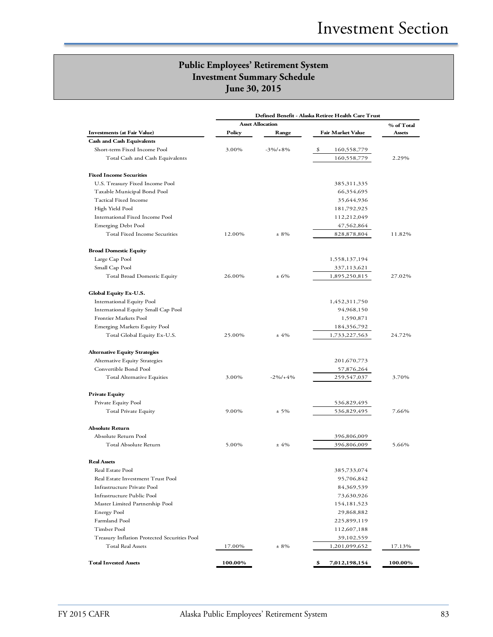|                                                                         |         | Defined Benefit - Alaska Retiree Health Care Trust |                             |            |
|-------------------------------------------------------------------------|---------|----------------------------------------------------|-----------------------------|------------|
|                                                                         |         | <b>Asset Allocation</b>                            |                             | % of Total |
| <b>Investments (at Fair Value)</b>                                      | Policy  | Range                                              | <b>Fair Market Value</b>    | Assets     |
| <b>Cash and Cash Equivalents</b>                                        |         |                                                    |                             |            |
| Short-term Fixed Income Pool                                            | 3.00%   | $-3\%/+8\%$                                        | \$<br>160,558,779           |            |
| Total Cash and Cash Equivalents                                         |         |                                                    | 160,558,779                 | 2.29%      |
| <b>Fixed Income Securities</b>                                          |         |                                                    |                             |            |
| U.S. Treasury Fixed Income Pool                                         |         |                                                    | 385, 311, 335               |            |
| Taxable Municipal Bond Pool                                             |         |                                                    | 66,354,695                  |            |
| <b>Tactical Fixed Income</b>                                            |         |                                                    | 35,644,936                  |            |
| High Yield Pool                                                         |         |                                                    | 181,792,925                 |            |
| International Fixed Income Pool                                         |         |                                                    | 112,212,049                 |            |
| Emerging Debt Pool                                                      |         |                                                    | 47,562,864                  |            |
| Total Fixed Income Securities                                           | 12.00%  | $\pm$ 8%                                           | 828,878,804                 | 11.82%     |
| <b>Broad Domestic Equity</b>                                            |         |                                                    |                             |            |
| Large Cap Pool                                                          |         |                                                    | 1,558,137,194               |            |
| Small Cap Pool                                                          |         |                                                    | 337,113,621                 |            |
| Total Broad Domestic Equity                                             | 26.00%  | ± 6%                                               | 1,895,250,815               | 27.02%     |
|                                                                         |         |                                                    |                             |            |
| Global Equity Ex-U.S.                                                   |         |                                                    |                             |            |
| <b>International Equity Pool</b><br>International Equity Small Cap Pool |         |                                                    | 1,452,311,750<br>94,968,150 |            |
| Frontier Markets Pool                                                   |         |                                                    | 1,590,871                   |            |
| <b>Emerging Markets Equity Pool</b>                                     |         |                                                    | 184,356,792                 |            |
| Total Global Equity Ex-U.S.                                             | 25.00%  | ±4%                                                | 1,733,227,563               | 24.72%     |
|                                                                         |         |                                                    |                             |            |
| <b>Alternative Equity Strategies</b>                                    |         |                                                    |                             |            |
| Alternative Equity Strategies<br>Convertible Bond Pool                  |         |                                                    | 201,670,773                 |            |
|                                                                         |         |                                                    | 57,876,264                  |            |
| Total Alternative Equities                                              | 3.00%   | $-2\%/+4\%$                                        | 259,547,037                 | 3.70%      |
| <b>Private Equity</b>                                                   |         |                                                    |                             |            |
| Private Equity Pool                                                     |         |                                                    | 536,829,495                 |            |
| Total Private Equity                                                    | 9.00%   | $± 5\%$                                            | 536,829,495                 | 7.66%      |
| <b>Absolute Return</b>                                                  |         |                                                    |                             |            |
| Absolute Return Pool                                                    |         |                                                    | 396,806,009                 |            |
| Total Absolute Return                                                   | 5.00%   | ±4%                                                | 396,806,009                 | 5.66%      |
| <b>Real Assets</b>                                                      |         |                                                    |                             |            |
| Real Estate Pool                                                        |         |                                                    | 385,733,074                 |            |
| Real Estate Investment Trust Pool                                       |         |                                                    | 95,706,842                  |            |
| Infrastructure Private Pool                                             |         |                                                    | 84,369,539                  |            |
| Infrastructure Public Pool                                              |         |                                                    | 73,630,926                  |            |
| Master Limited Partnership Pool                                         |         |                                                    | 154, 181, 523               |            |
| Energy Pool                                                             |         |                                                    | 29,868,882                  |            |
| Farmland Pool                                                           |         |                                                    | 225,899,119                 |            |
| Timber Pool                                                             |         |                                                    | 112,607,188                 |            |
| Treasury Inflation Protected Securities Pool                            |         |                                                    | 39,102,559                  |            |
| <b>Total Real Assets</b>                                                | 17.00%  | $± 8\%$                                            | 1,201,099,652               | 17.13%     |
| <b>Total Invested Assets</b>                                            | 100.00% |                                                    | \$<br>7,012,198,154         | 100.00%    |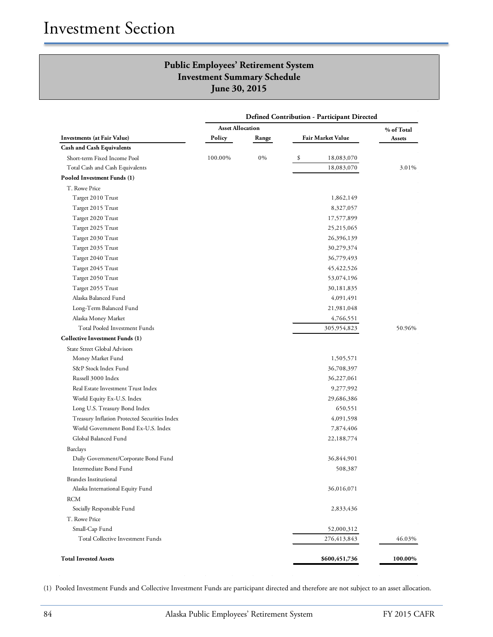|                                               | <b>Defined Contribution - Participant Directed</b> |       |    |                          |         |  |  |
|-----------------------------------------------|----------------------------------------------------|-------|----|--------------------------|---------|--|--|
|                                               | <b>Asset Allocation</b>                            |       |    | % of Total               |         |  |  |
| Investments (at Fair Value)                   | Policy                                             | Range |    | <b>Fair Market Value</b> | Assets  |  |  |
| <b>Cash and Cash Equivalents</b>              |                                                    |       |    |                          |         |  |  |
| Short-term Fixed Income Pool                  | 100.00%                                            | 0%    | \$ | 18,083,070               |         |  |  |
| Total Cash and Cash Equivalents               |                                                    |       |    | 18,083,070               | 3.01%   |  |  |
| Pooled Investment Funds (1)                   |                                                    |       |    |                          |         |  |  |
| T. Rowe Price                                 |                                                    |       |    |                          |         |  |  |
| Target 2010 Trust                             |                                                    |       |    | 1,862,149                |         |  |  |
| Target 2015 Trust                             |                                                    |       |    | 8,327,057                |         |  |  |
| Target 2020 Trust                             |                                                    |       |    | 17,577,899               |         |  |  |
| Target 2025 Trust                             |                                                    |       |    | 25,215,065               |         |  |  |
| Target 2030 Trust                             |                                                    |       |    | 26,396,139               |         |  |  |
| Target 2035 Trust                             |                                                    |       |    | 30,279,374               |         |  |  |
| Target 2040 Trust                             |                                                    |       |    | 36,779,493               |         |  |  |
| Target 2045 Trust                             |                                                    |       |    | 45, 422, 526             |         |  |  |
| Target 2050 Trust                             |                                                    |       |    | 53,074,196               |         |  |  |
| Target 2055 Trust                             |                                                    |       |    | 30,181,835               |         |  |  |
| Alaska Balanced Fund                          |                                                    |       |    | 4,091,491                |         |  |  |
| Long-Term Balanced Fund                       |                                                    |       |    | 21,981,048               |         |  |  |
| Alaska Money Market                           |                                                    |       |    | 4,766,551                |         |  |  |
| Total Pooled Investment Funds                 |                                                    |       |    | 305,954,823              | 50.96%  |  |  |
| <b>Collective Investment Funds (1)</b>        |                                                    |       |    |                          |         |  |  |
| <b>State Street Global Advisors</b>           |                                                    |       |    |                          |         |  |  |
| Money Market Fund                             |                                                    |       |    | 1,505,571                |         |  |  |
| S&P Stock Index Fund                          |                                                    |       |    | 36,708,397               |         |  |  |
| Russell 3000 Index                            |                                                    |       |    | 36,227,061               |         |  |  |
| Real Estate Investment Trust Index            |                                                    |       |    | 9,277,992                |         |  |  |
| World Equity Ex-U.S. Index                    |                                                    |       |    | 29,686,386               |         |  |  |
| Long U.S. Treasury Bond Index                 |                                                    |       |    | 650,551                  |         |  |  |
| Treasury Inflation Protected Securities Index |                                                    |       |    | 4,091,598                |         |  |  |
| World Government Bond Ex-U.S. Index           |                                                    |       |    | 7,874,406                |         |  |  |
| Global Balanced Fund                          |                                                    |       |    | 22,188,774               |         |  |  |
| <b>Barclays</b>                               |                                                    |       |    |                          |         |  |  |
| Daily Government/Corporate Bond Fund          |                                                    |       |    | 36,844,901               |         |  |  |
| Intermediate Bond Fund                        |                                                    |       |    | 508,387                  |         |  |  |
| <b>Brandes Institutional</b>                  |                                                    |       |    |                          |         |  |  |
| Alaska International Equity Fund              |                                                    |       |    | 36,016,071               |         |  |  |
| <b>RCM</b>                                    |                                                    |       |    |                          |         |  |  |
| Socially Responsible Fund                     |                                                    |       |    | 2,833,436                |         |  |  |
| T. Rowe Price                                 |                                                    |       |    |                          |         |  |  |
| Small-Cap Fund                                |                                                    |       |    | 52,000,312               |         |  |  |
| Total Collective Investment Funds             |                                                    |       |    | 276,413,843              | 46.03%  |  |  |
| <b>Total Invested Assets</b>                  |                                                    |       |    | \$600,451,736            | 100.00% |  |  |

(1) Pooled Investment Funds and Collective Investment Funds are participant directed and therefore are not subject to an asset allocation.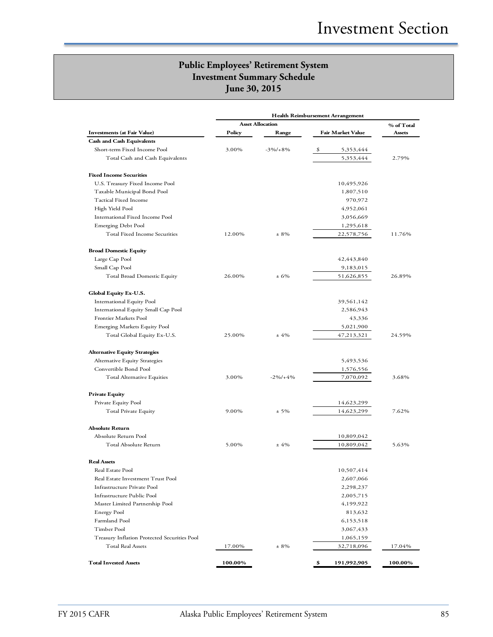|                                              |         | <b>Asset Allocation</b> |                   | % of Total |
|----------------------------------------------|---------|-------------------------|-------------------|------------|
| <b>Investments (at Fair Value)</b>           | Policy  | Range                   | Fair Market Value | Assets     |
| <b>Cash and Cash Equivalents</b>             |         |                         |                   |            |
| Short-term Fixed Income Pool                 | 3.00%   | $-3\%/+8\%$             | \$<br>5,353,444   |            |
| Total Cash and Cash Equivalents              |         |                         | 5,353,444         | 2.79%      |
| <b>Fixed Income Securities</b>               |         |                         |                   |            |
| U.S. Treasury Fixed Income Pool              |         |                         | 10,495,926        |            |
| Taxable Municipal Bond Pool                  |         |                         | 1,807,510         |            |
| Tactical Fixed Income                        |         |                         | 970,972           |            |
| High Yield Pool                              |         |                         | 4,952,061         |            |
| International Fixed Income Pool              |         |                         | 3,056,669         |            |
| Emerging Debt Pool                           |         |                         | 1,295,618         |            |
| Total Fixed Income Securities                | 12.00%  | $± 8\%$                 | 22,578,756        | 11.76%     |
| <b>Broad Domestic Equity</b>                 |         |                         |                   |            |
| Large Cap Pool                               |         |                         | 42,443,840        |            |
| Small Cap Pool                               |         |                         | 9,183,015         |            |
| Total Broad Domestic Equity                  | 26.00%  | ±6%                     | 51,626,855        | 26.89%     |
| Global Equity Ex-U.S.                        |         |                         |                   |            |
| <b>International Equity Pool</b>             |         |                         | 39,561,142        |            |
| International Equity Small Cap Pool          |         |                         | 2,586,943         |            |
| Frontier Markets Pool                        |         |                         | 43,336            |            |
| <b>Emerging Markets Equity Pool</b>          |         |                         | 5,021,900         |            |
| Total Global Equity Ex-U.S.                  | 25.00%  | ±4%                     | 47,213,321        | 24.59%     |
| <b>Alternative Equity Strategies</b>         |         |                         |                   |            |
| Alternative Equity Strategies                |         |                         | 5,493,536         |            |
| Convertible Bond Pool                        |         |                         | 1,576,556         |            |
| Total Alternative Equities                   | 3.00%   | $-2\%/+4\%$             | 7,070,092         | 3.68%      |
| <b>Private Equity</b>                        |         |                         |                   |            |
| Private Equity Pool                          |         |                         | 14,623,299        |            |
| Total Private Equity                         | 9.00%   | $± 5\%$                 | 14,623,299        | 7.62%      |
| <b>Absolute Return</b>                       |         |                         |                   |            |
| Absolute Return Pool                         |         |                         | 10,809,042        |            |
| Total Absolute Return                        | 5.00%   | ±4%                     | 10,809,042        | 5.63%      |
| <b>Real Assets</b>                           |         |                         |                   |            |
| Real Estate Pool                             |         |                         | 10,507,414        |            |
| Real Estate Investment Trust Pool            |         |                         | 2,607,066         |            |
| Infrastructure Private Pool                  |         |                         | 2,298,237         |            |
| Infrastructure Public Pool                   |         |                         | 2,005,715         |            |
| Master Limited Partnership Pool              |         |                         | 4,199,922         |            |
| <b>Energy Pool</b>                           |         |                         | 813,632           |            |
| Farmland Pool                                |         |                         | 6,153,518         |            |
| Timber Pool                                  |         |                         | 3,067,433         |            |
| Treasury Inflation Protected Securities Pool |         |                         | 1,065,159         |            |
| <b>Total Real Assets</b>                     | 17.00%  | $± 8\%$                 | 32,718,096        | 17.04%     |
| <b>Total Invested Assets</b>                 | 100.00% |                         | \$<br>191,992,905 | 100.00%    |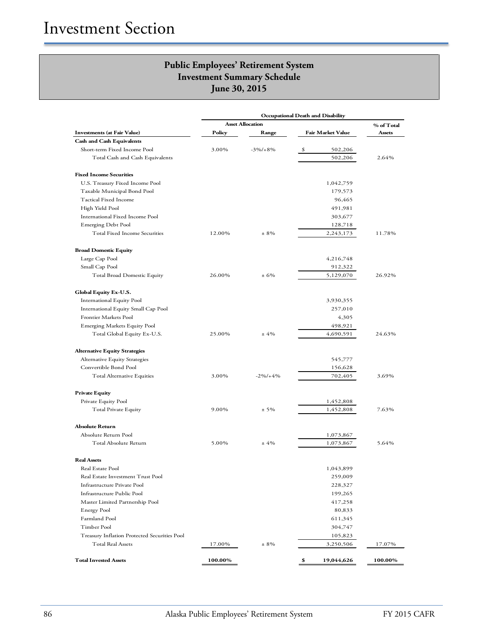| <b>Occupational Death and Disability</b>     |         |                         |    |                   |            |
|----------------------------------------------|---------|-------------------------|----|-------------------|------------|
|                                              |         | <b>Asset Allocation</b> |    |                   | % of Total |
| <b>Investments (at Fair Value)</b>           | Policy  | Range                   |    | Fair Market Value | Assets     |
| <b>Cash and Cash Equivalents</b>             |         |                         |    |                   |            |
| Short-term Fixed Income Pool                 | 3.00%   | $-3\%/+8\%$             | \$ | 502,206           |            |
| Total Cash and Cash Equivalents              |         |                         |    | 502,206           | 2.64%      |
| <b>Fixed Income Securities</b>               |         |                         |    |                   |            |
| U.S. Treasury Fixed Income Pool              |         |                         |    | 1,042,759         |            |
| Taxable Municipal Bond Pool                  |         |                         |    | 179,573           |            |
| Tactical Fixed Income                        |         |                         |    | 96,465            |            |
| High Yield Pool                              |         |                         |    | 491,981           |            |
| International Fixed Income Pool              |         |                         |    | 303,677           |            |
| Emerging Debt Pool                           |         |                         |    | 128,718           |            |
| Total Fixed Income Securities                | 12.00%  | $± 8\%$                 |    | 2,243,173         | 11.78%     |
| <b>Broad Domestic Equity</b>                 |         |                         |    |                   |            |
| Large Cap Pool                               |         |                         |    | 4,216,748         |            |
| Small Cap Pool                               |         |                         |    | 912,322           |            |
| Total Broad Domestic Equity                  | 26.00%  | ± 6%                    |    | 5,129,070         | 26.92%     |
| Global Equity Ex-U.S.                        |         |                         |    |                   |            |
| International Equity Pool                    |         |                         |    | 3,930,355         |            |
| International Equity Small Cap Pool          |         |                         |    | 257,010           |            |
| Frontier Markets Pool                        |         |                         |    | 4,305             |            |
| <b>Emerging Markets Equity Pool</b>          |         |                         |    | 498,921           |            |
| Total Global Equity Ex-U.S.                  | 25.00%  | ±4%                     |    | 4,690,591         | 24.63%     |
| <b>Alternative Equity Strategies</b>         |         |                         |    |                   |            |
| Alternative Equity Strategies                |         |                         |    | 545,777           |            |
| Convertible Bond Pool                        |         |                         |    | 156,628           |            |
| Total Alternative Equities                   | 3.00%   | $-2\%/+4\%$             |    | 702,405           | 3.69%      |
| <b>Private Equity</b>                        |         |                         |    |                   |            |
| Private Equity Pool                          |         |                         |    | 1,452,808         |            |
| Total Private Equity                         | 9.00%   | $± 5\%$                 |    | 1,452,808         | 7.63%      |
| <b>Absolute Return</b>                       |         |                         |    |                   |            |
| Absolute Return Pool                         |         |                         |    | 1,073,867         |            |
| Total Absolute Return                        | 5.00%   | $±4\%$                  |    | 1,073,867         | 5.64%      |
| <b>Real Assets</b>                           |         |                         |    |                   |            |
| Real Estate Pool                             |         |                         |    | 1,043,899         |            |
| Real Estate Investment Trust Pool            |         |                         |    | 259,009           |            |
| Infrastructure Private Pool                  |         |                         |    | 228,327           |            |
| Infrastructure Public Pool                   |         |                         |    | 199,265           |            |
| Master Limited Partnership Pool              |         |                         |    | 417,258           |            |
| <b>Energy Pool</b>                           |         |                         |    | 80,833            |            |
| Farmland Pool                                |         |                         |    | 611,345           |            |
| Timber Pool                                  |         |                         |    | 304,747           |            |
| Treasury Inflation Protected Securities Pool |         |                         |    | 105,823           |            |
| <b>Total Real Assets</b>                     | 17.00%  | $± 8\%$                 |    | 3,250,506         | 17.07%     |
| <b>Total Invested Assets</b>                 | 100.00% |                         | \$ | 19,044,626        | 100.00%    |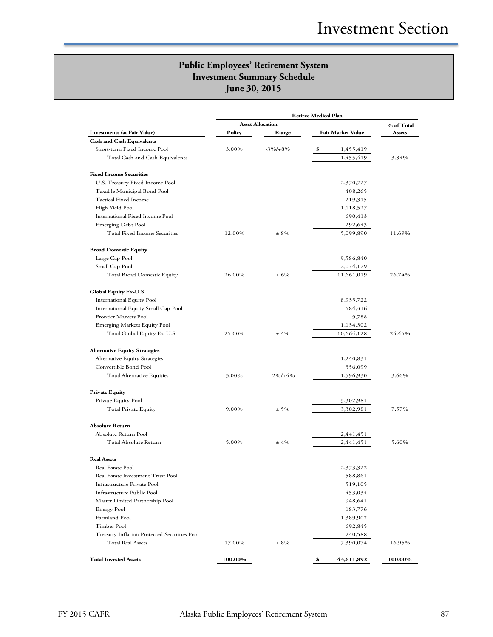|                                              | <b>Retiree Medical Plan</b> |             |                   |            |            |
|----------------------------------------------|-----------------------------|-------------|-------------------|------------|------------|
|                                              | <b>Asset Allocation</b>     |             |                   |            | % of Total |
| <b>Investments (at Fair Value)</b>           | Policy                      | Range       | Fair Market Value |            | Assets     |
| <b>Cash and Cash Equivalents</b>             |                             |             |                   |            |            |
| Short-term Fixed Income Pool                 | 3.00%                       | $-3\%/+8\%$ | \$                | 1,455,419  |            |
| Total Cash and Cash Equivalents              |                             |             |                   | 1,455,419  | 3.34%      |
| <b>Fixed Income Securities</b>               |                             |             |                   |            |            |
| U.S. Treasury Fixed Income Pool              |                             |             |                   | 2,370,727  |            |
| Taxable Municipal Bond Pool                  |                             |             |                   | 408,265    |            |
| <b>Tactical Fixed Income</b>                 |                             |             |                   | 219,315    |            |
| High Yield Pool                              |                             |             |                   | 1,118,527  |            |
| International Fixed Income Pool              |                             |             |                   | 690,413    |            |
| <b>Emerging Debt Pool</b>                    |                             |             |                   | 292,643    |            |
| Total Fixed Income Securities                | 12.00%                      | $± 8\%$     |                   | 5,099,890  | 11.69%     |
| <b>Broad Domestic Equity</b>                 |                             |             |                   |            |            |
| Large Cap Pool                               |                             |             |                   | 9,586,840  |            |
| Small Cap Pool                               |                             |             |                   | 2,074,179  |            |
| <b>Total Broad Domestic Equity</b>           | 26.00%                      | ± 6%        |                   | 11,661,019 | 26.74%     |
| Global Equity Ex-U.S.                        |                             |             |                   |            |            |
| <b>International Equity Pool</b>             |                             |             |                   | 8,935,722  |            |
| International Equity Small Cap Pool          |                             |             |                   | 584,316    |            |
| Frontier Markets Pool                        |                             |             |                   | 9,788      |            |
| <b>Emerging Markets Equity Pool</b>          |                             |             |                   | 1,134,302  |            |
| Total Global Equity Ex-U.S.                  | 25.00%                      | ±4%         |                   | 10,664,128 | 24.45%     |
| <b>Alternative Equity Strategies</b>         |                             |             |                   |            |            |
| Alternative Equity Strategies                |                             |             |                   | 1,240,831  |            |
| Convertible Bond Pool                        |                             |             |                   | 356,099    |            |
| <b>Total Alternative Equities</b>            | 3.00%                       | $-2\%/+4\%$ |                   | 1,596,930  | 3.66%      |
| <b>Private Equity</b>                        |                             |             |                   |            |            |
| Private Equity Pool                          |                             |             |                   | 3,302,981  |            |
| Total Private Equity                         | 9.00%                       | $± 5\%$     |                   | 3,302,981  | 7.57%      |
| <b>Absolute Return</b>                       |                             |             |                   |            |            |
| Absolute Return Pool                         |                             |             |                   | 2,441,451  |            |
| Total Absolute Return                        | 5.00%                       | ±4%         |                   | 2,441,451  | 5.60%      |
| <b>Real Assets</b>                           |                             |             |                   |            |            |
| Real Estate Pool                             |                             |             |                   | 2,373,322  |            |
| Real Estate Investment Trust Pool            |                             |             |                   | 588,861    |            |
| Infrastructure Private Pool                  |                             |             |                   | 519,105    |            |
| Infrastructure Public Pool                   |                             |             |                   | 453,034    |            |
| Master Limited Partnership Pool              |                             |             |                   | 948,641    |            |
| <b>Energy Pool</b>                           |                             |             |                   | 183,776    |            |
| Farmland Pool                                |                             |             |                   | 1,389,902  |            |
| Timber Pool                                  |                             |             |                   | 692,845    |            |
| Treasury Inflation Protected Securities Pool |                             |             |                   | 240,588    |            |
| <b>Total Real Assets</b>                     | 17.00%                      | $± 8\%$     |                   | 7,390,074  | 16.95%     |
| <b>Total Invested Assets</b>                 | 100.00%                     |             | \$                | 43,611,892 | 100.00%    |